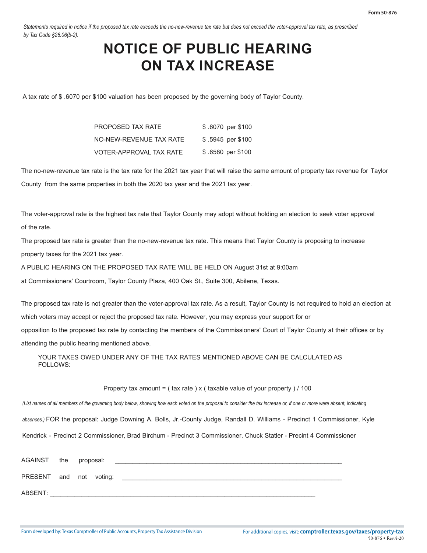*Statements required in notice if the proposed tax rate exceeds the no-new-revenue tax rate but does not exceed the voter-approval tax rate, as prescribed by Tax Code §26.06(b-2).* 

## **NOTICE OF PUBLIC HEARING ON TAX INCREASE**

A tax rate of \$ .6070 per \$100 valuation has been proposed by the governing body of Taylor County.

| PROPOSED TAX RATE       | \$.6070 per \$100 |
|-------------------------|-------------------|
| NO-NEW-REVENUE TAX RATE | \$.5945 per \$100 |
| VOTER-APPROVAL TAX RATE | \$.6580 per \$100 |

The no-new-revenue tax rate is the tax rate for the 2021 tax year that will raise the same amount of property tax revenue for Taylor County from the same properties in both the 2020 tax year and the 2021 tax year.

The voter-approval rate is the highest tax rate that Taylor County may adopt without holding an election to seek voter approval of the rate.

The proposed tax rate is greater than the no-new-revenue tax rate. This means that Taylor County is proposing to increase property taxes for the 2021 tax year.

A PUBLIC HEARING ON THE PROPOSED TAX RATE WILL BE HELD ON August 31st at 9:00am

at Commissioners' Courtroom, Taylor County Plaza, 400 Oak St., Suite 300, Abilene, Texas.

The proposed tax rate is not greater than the voter-approval tax rate. As a result, Taylor County is not required to hold an election at which voters may accept or reject the proposed tax rate. However, you may express your support for or opposition to the proposed tax rate by contacting the members of the Commissioners' Court of Taylor County at their offices or by attending the public hearing mentioned above.

YOUR TAXES OWED UNDER ANY OF THE TAX RATES MENTIONED ABOVE CAN BE CALCULATED AS FOLLOWS:

## Property tax amount =  $($  tax rate  $)$  x  $($  taxable value of your property  $)/100$

*(List names of all members of the governing body below, showing how each voted on the proposal to consider the tax increase or, if one or more were absent, indicating* 

*absences.)* FOR the proposal: Judge Downing A. Bolls, Jr.-County Judge, Randall D. Williams - Precinct 1 Commissioner, Kyle

Kendrick - Precinct 2 Commissioner, Brad Birchum - Precinct 3 Commissioner, Chuck Statler - Precint 4 Commissioner

| AGAINST the proposal:   |  |  |
|-------------------------|--|--|
| PRESENT and not voting: |  |  |
| ABSENT:                 |  |  |